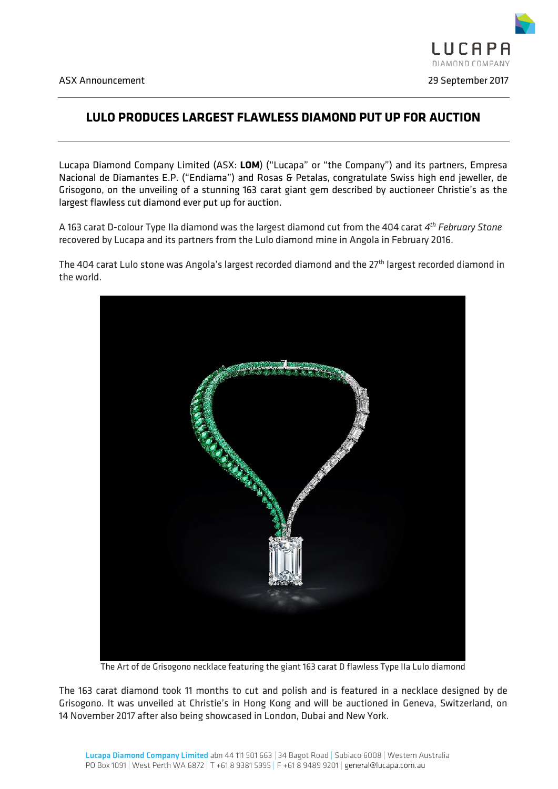

## **LULO PRODUCES LARGEST FLAWLESS DIAMOND PUT UP FOR AUCTION**

Lucapa Diamond Company Limited (ASX: **LOM**) ("Lucapa" or "the Company") and its partners, Empresa Nacional de Diamantes E.P. ("Endiama") and Rosas & Petalas, congratulate Swiss high end jeweller, de Grisogono, on the unveiling of a stunning 163 carat giant gem described by auctioneer Christie's as the largest flawless cut diamond ever put up for auction.

A 163 carat D-colour Type IIa diamond was the largest diamond cut from the 404 carat *4th February Stone* recovered by Lucapa and its partners from the Lulo diamond mine in Angola in February 2016.

The 404 carat Lulo stone was Angola's largest recorded diamond and the 27<sup>th</sup> largest recorded diamond in the world.



The Art of de Grisogono necklace featuring the giant 163 carat D flawless Type IIa Lulo diamond

The 163 carat diamond took 11 months to cut and polish and is featured in a necklace designed by de Grisogono. It was unveiled at Christie's in Hong Kong and will be auctioned in Geneva, Switzerland, on 14 November 2017 after also being showcased in London, Dubai and New York.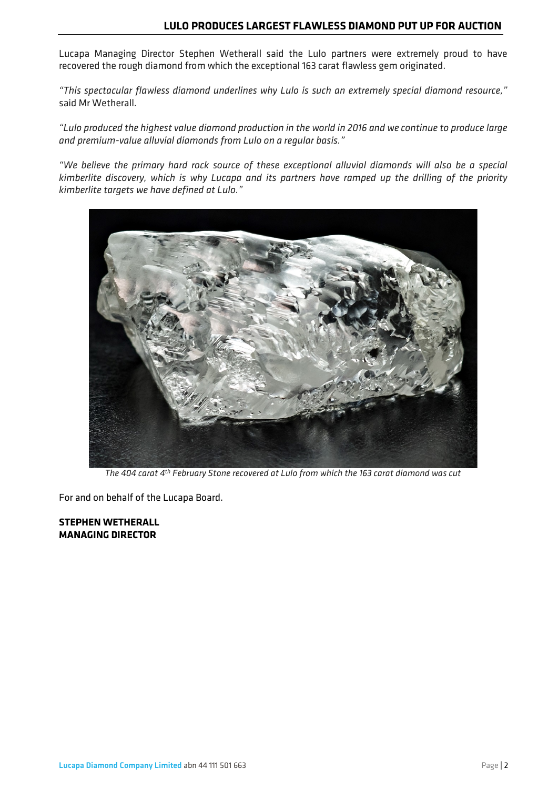Lucapa Managing Director Stephen Wetherall said the Lulo partners were extremely proud to have recovered the rough diamond from which the exceptional 163 carat flawless gem originated.

*"This spectacular flawless diamond underlines why Lulo is such an extremely special diamond resource,"*  said Mr Wetherall.

*"Lulo produced the highest value diamond production in the world in 2016 and we continue to produce large and premium-value alluvial diamonds from Lulo on a regular basis."*

*"We believe the primary hard rock source of these exceptional alluvial diamonds will also be a special kimberlite discovery, which is why Lucapa and its partners have ramped up the drilling of the priority kimberlite targets we have defined at Lulo."*



*The 404 carat 4th February Stone recovered at Lulo from which the 163 carat diamond was cut*

For and on behalf of the Lucapa Board.

**STEPHEN WETHERALL MANAGING DIRECTOR**